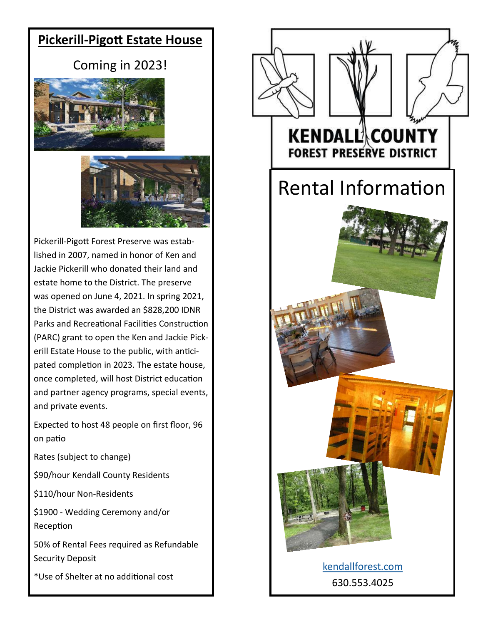### <span id="page-0-0"></span>**Pickerill-Pigott Estate House**

### Coming in 2023!





Pickerill-Pigott Forest Preserve was established in 2007, named in honor of Ken and Jackie Pickerill who donated their land and estate home to the District. The preserve was opened on June 4, 2021. In spring 2021, the District was awarded an \$828,200 IDNR Parks and Recreational Facilities Construction (PARC) grant to open the Ken and Jackie Pickerill Estate House to the public, with anticipated completion in 2023. The estate house, once completed, will host District education and partner agency programs, special events, and private events.

Expected to host 48 people on first floor, 96 on patio

Rates (subject to change)

\$90/hour Kendall County Residents

\$110/hour Non-Residents

\$1900 - Wedding Ceremony and/or Reception

50% of Rental Fees required as Refundable Security Deposit

\*Use of Shelter at no additional cost